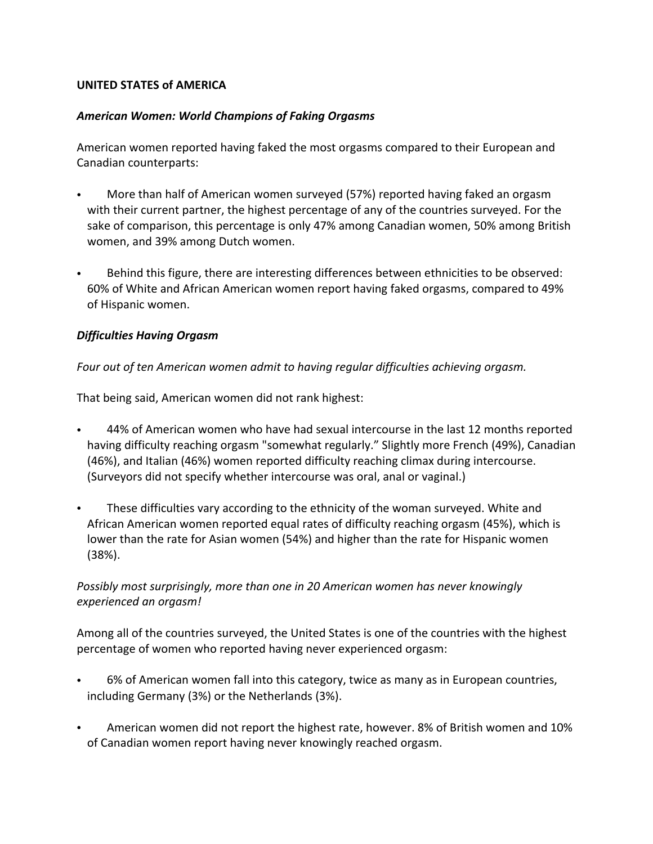### **UNITED STATES of AMERICA**

#### *American Women: World Champions of Faking Orgasms*

American women reported having faked the most orgasms compared to their European and Canadian counterparts:

- More than half of American women surveyed (57%) reported having faked an orgasm with their current partner, the highest percentage of any of the countries surveyed. For the sake of comparison, this percentage is only 47% among Canadian women, 50% among British women, and 39% among Dutch women.
- Behind this figure, there are interesting differences between ethnicities to be observed: 60% of White and African American women report having faked orgasms, compared to 49% of Hispanic women.

### *Difficulties Having Orgasm*

### *Four out of ten American women admit to having regular difficulties achieving orgasm.*

That being said, American women did not rank highest:

- 44% of American women who have had sexual intercourse in the last 12 months reported having difficulty reaching orgasm "somewhat regularly." Slightly more French (49%), Canadian (46%), and Italian (46%) women reported difficulty reaching climax during intercourse. (Surveyors did not specify whether intercourse was oral, anal or vaginal.)
- These difficulties vary according to the ethnicity of the woman surveyed. White and African American women reported equal rates of difficulty reaching orgasm (45%), which is lower than the rate for Asian women (54%) and higher than the rate for Hispanic women (38%).

# *Possibly most surprisingly, more than one in 20 American women has never knowingly experienced an orgasm!*

Among all of the countries surveyed, the United States is one of the countries with the highest percentage of women who reported having never experienced orgasm:

- 6% of American women fall into this category, twice as many as in European countries, including Germany (3%) or the Netherlands (3%).
- American women did not report the highest rate, however. 8% of British women and 10% of Canadian women report having never knowingly reached orgasm.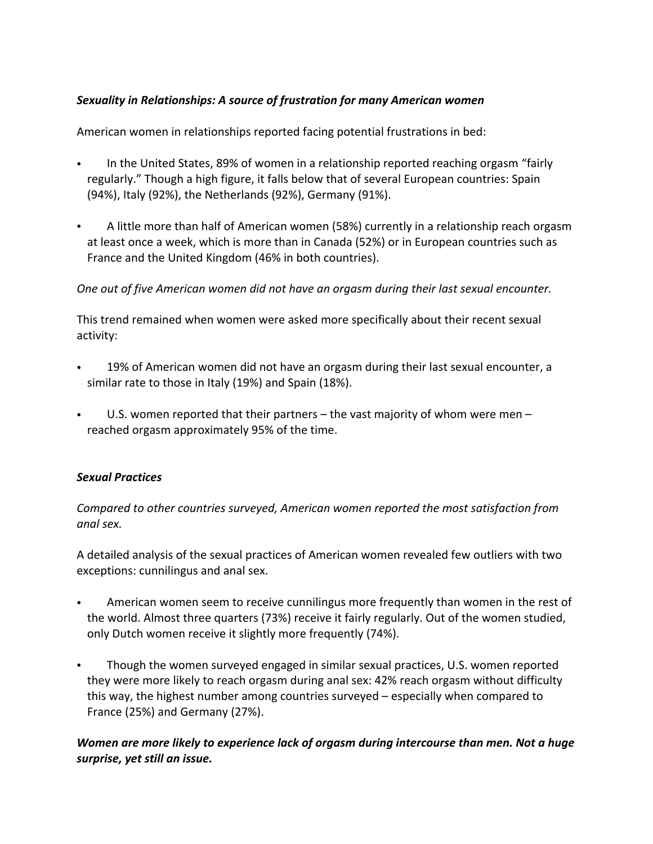# *Sexuality in Relationships: A source of frustration for many American women*

American women in relationships reported facing potential frustrations in bed:

- In the United States, 89% of women in a relationship reported reaching orgasm "fairly regularly." Though a high figure, it falls below that of several European countries: Spain (94%), Italy (92%), the Netherlands (92%), Germany (91%).
- A little more than half of American women (58%) currently in a relationship reach orgasm at least once a week, which is more than in Canada (52%) or in European countries such as France and the United Kingdom (46% in both countries).

### *One out of five American women did not have an orgasm during their last sexual encounter.*

This trend remained when women were asked more specifically about their recent sexual activity:

- 19% of American women did not have an orgasm during their last sexual encounter, a similar rate to those in Italy (19%) and Spain (18%).
- U.S. women reported that their partners  $-$  the vast majority of whom were men  $$ reached orgasm approximately 95% of the time.

# *Sexual Practices*

*Compared to other countries surveyed, American women reported the most satisfaction from anal sex.*

A detailed analysis of the sexual practices of American women revealed few outliers with two exceptions: cunnilingus and anal sex. 

- American women seem to receive cunnilingus more frequently than women in the rest of the world. Almost three quarters (73%) receive it fairly regularly. Out of the women studied, only Dutch women receive it slightly more frequently (74%).
- Though the women surveyed engaged in similar sexual practices, U.S. women reported they were more likely to reach orgasm during anal sex: 42% reach orgasm without difficulty this way, the highest number among countries surveyed – especially when compared to France (25%) and Germany (27%).

# *Women are more likely to experience lack of orgasm during intercourse than men. Not a huge surprise, yet still an issue.*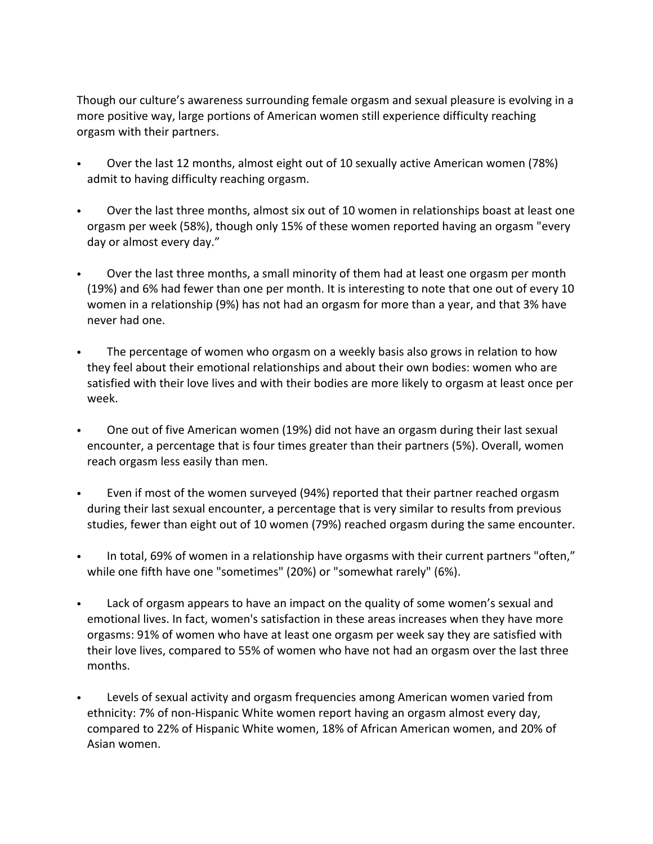Though our culture's awareness surrounding female orgasm and sexual pleasure is evolving in a more positive way, large portions of American women still experience difficulty reaching orgasm with their partners.

- Over the last 12 months, almost eight out of 10 sexually active American women (78%) admit to having difficulty reaching orgasm.
- Over the last three months, almost six out of 10 women in relationships boast at least one orgasm per week (58%), though only 15% of these women reported having an orgasm "every day or almost every day."
- Over the last three months, a small minority of them had at least one orgasm per month (19%) and 6% had fewer than one per month. It is interesting to note that one out of every 10 women in a relationship (9%) has not had an orgasm for more than a year, and that 3% have never had one.
- The percentage of women who orgasm on a weekly basis also grows in relation to how they feel about their emotional relationships and about their own bodies: women who are satisfied with their love lives and with their bodies are more likely to orgasm at least once per week.
- One out of five American women (19%) did not have an orgasm during their last sexual encounter, a percentage that is four times greater than their partners (5%). Overall, women reach orgasm less easily than men.
- Even if most of the women surveyed (94%) reported that their partner reached orgasm during their last sexual encounter, a percentage that is very similar to results from previous studies, fewer than eight out of 10 women (79%) reached orgasm during the same encounter.
- In total, 69% of women in a relationship have orgasms with their current partners "often," while one fifth have one "sometimes" (20%) or "somewhat rarely" (6%).
- Lack of orgasm appears to have an impact on the quality of some women's sexual and emotional lives. In fact, women's satisfaction in these areas increases when they have more orgasms: 91% of women who have at least one orgasm per week say they are satisfied with their love lives, compared to 55% of women who have not had an orgasm over the last three months.
- Levels of sexual activity and orgasm frequencies among American women varied from ethnicity: 7% of non-Hispanic White women report having an orgasm almost every day, compared to 22% of Hispanic White women, 18% of African American women, and 20% of Asian women.